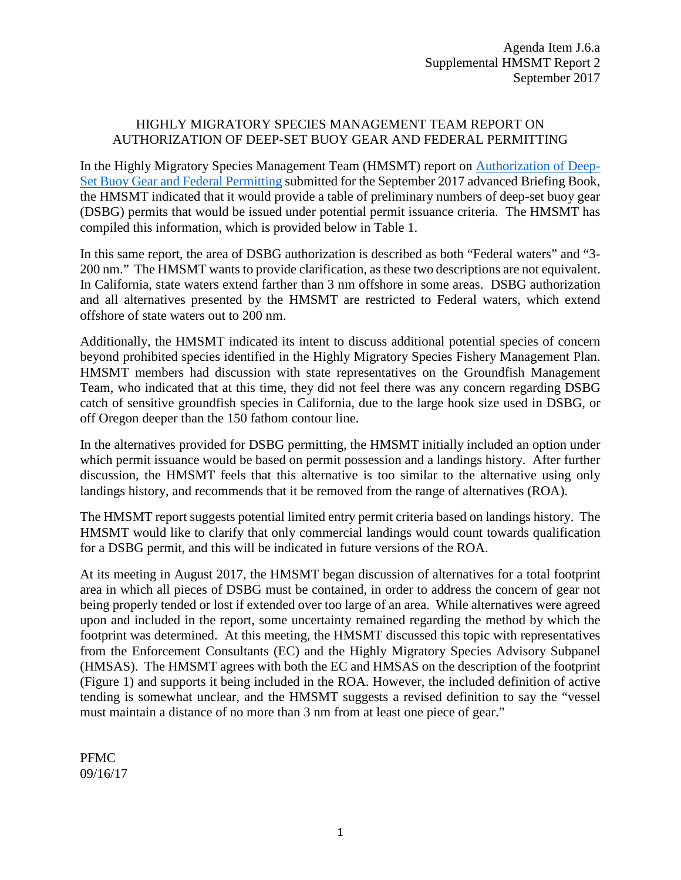## HIGHLY MIGRATORY SPECIES MANAGEMENT TEAM REPORT ON AUTHORIZATION OF DEEP-SET BUOY GEAR AND FEDERAL PERMITTING

In the Highly Migratory Species Management Team (HMSMT) report on [Authorization of Deep-](http://www.pcouncil.org/wp-content/uploads/2017/08/J6a_HMSMT_Rpt1_Revised_DSBG_ROA_SEPT2017BB.pdf)[Set Buoy Gear and Federal Permitting](http://www.pcouncil.org/wp-content/uploads/2017/08/J6a_HMSMT_Rpt1_Revised_DSBG_ROA_SEPT2017BB.pdf) submitted for the September 2017 advanced Briefing Book, the HMSMT indicated that it would provide a table of preliminary numbers of deep-set buoy gear (DSBG) permits that would be issued under potential permit issuance criteria. The HMSMT has compiled this information, which is provided below in Table 1.

In this same report, the area of DSBG authorization is described as both "Federal waters" and "3- 200 nm." The HMSMT wants to provide clarification, as these two descriptions are not equivalent. In California, state waters extend farther than 3 nm offshore in some areas. DSBG authorization and all alternatives presented by the HMSMT are restricted to Federal waters, which extend offshore of state waters out to 200 nm.

Additionally, the HMSMT indicated its intent to discuss additional potential species of concern beyond prohibited species identified in the Highly Migratory Species Fishery Management Plan. HMSMT members had discussion with state representatives on the Groundfish Management Team, who indicated that at this time, they did not feel there was any concern regarding DSBG catch of sensitive groundfish species in California, due to the large hook size used in DSBG, or off Oregon deeper than the 150 fathom contour line.

In the alternatives provided for DSBG permitting, the HMSMT initially included an option under which permit issuance would be based on permit possession and a landings history. After further discussion, the HMSMT feels that this alternative is too similar to the alternative using only landings history, and recommends that it be removed from the range of alternatives (ROA).

The HMSMT report suggests potential limited entry permit criteria based on landings history. The HMSMT would like to clarify that only commercial landings would count towards qualification for a DSBG permit, and this will be indicated in future versions of the ROA.

At its meeting in August 2017, the HMSMT began discussion of alternatives for a total footprint area in which all pieces of DSBG must be contained, in order to address the concern of gear not being properly tended or lost if extended over too large of an area. While alternatives were agreed upon and included in the report, some uncertainty remained regarding the method by which the footprint was determined. At this meeting, the HMSMT discussed this topic with representatives from the Enforcement Consultants (EC) and the Highly Migratory Species Advisory Subpanel (HMSAS). The HMSMT agrees with both the EC and HMSAS on the description of the footprint (Figure 1) and supports it being included in the ROA. However, the included definition of active tending is somewhat unclear, and the HMSMT suggests a revised definition to say the "vessel must maintain a distance of no more than 3 nm from at least one piece of gear."

PFMC 09/16/17